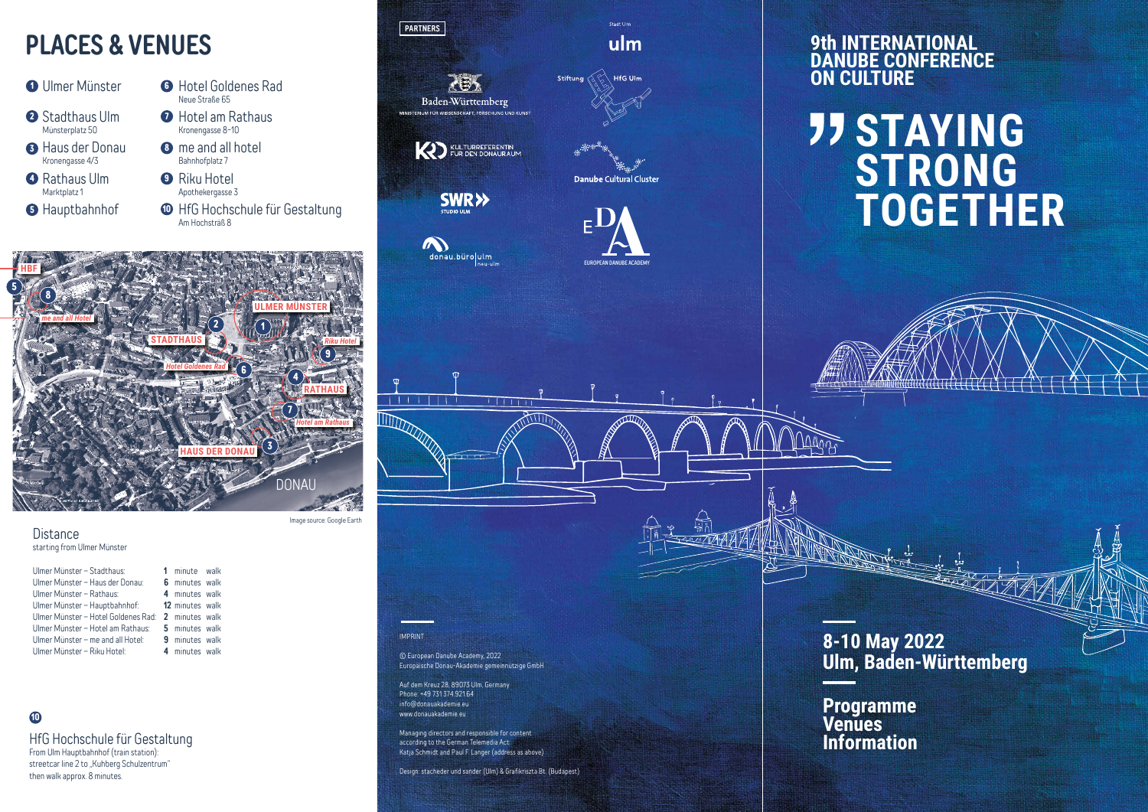**8-10 May 2022 Ulm, Baden-Württemberg**

# **JJ STAYING STRONG TOGETHER**

## **9th INTERNATIONAL DANUBE CONFERENCE**

#### **Distance** starting from Ulmer Münster

## **PLACES & VENUES**

| Ulmer Münster - Stadthaus:          | 1 minute walk          |  |
|-------------------------------------|------------------------|--|
| Ulmer Münster - Haus der Donau:     | 6 minutes walk         |  |
| Ulmer Münster - Rathaus:            | 4 minutes walk         |  |
| Ulmer Münster - Hauptbahnhof:       | <b>12</b> minutes walk |  |
| Ulmer Münster – Hotel Goldenes Rad: | 2 minutes walk         |  |
| Ulmer Münster - Hotel am Rathaus:   | 5 minutes walk         |  |
| Ulmer Münster - me and all Hotel:   | <b>9</b> minutes walk  |  |
| Ulmer Münster - Riku Hotel:         | 4 minutes walk         |  |
|                                     |                        |  |





Image source: Google Earth

#### HfG Hochschule für Gestaltung

From Ulm Hauptbahnhof (train station): streetcar line 2 to "Kuhberg Schulzentrum" then walk approx. 8 minutes.

### **10**